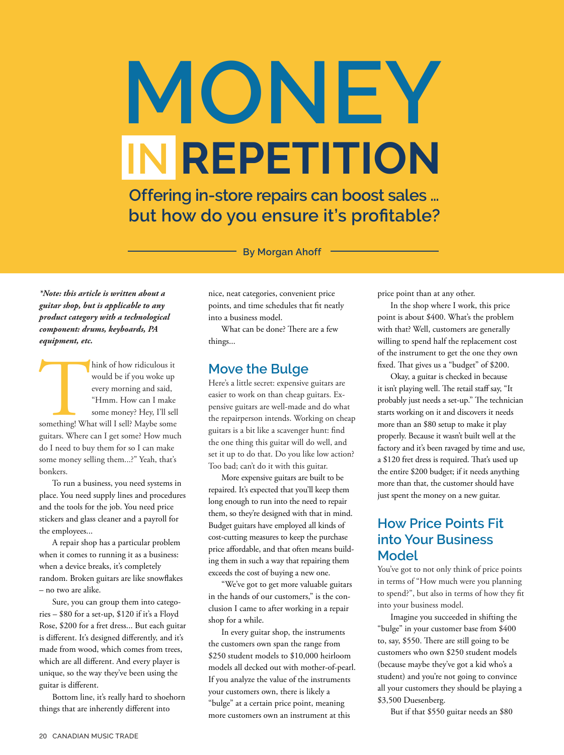# **MONEY IN REPETITION**

 **Offering in-store repairs can boost sales … but how do you ensure it's profitable?**

**By Morgan Ahoff**

*\*Note: this article is written about a guitar shop, but is applicable to any product category with a technological component: drums, keyboards, PA equipment, etc.*

hink of how ridiculous it<br>would be if you woke up<br>every morning and said,<br>"Hmm. How can I make<br>some money? Hey, I'll sell<br>something! What will I sell? Maybe some<br>guitars. Where can I get some? How mucl hink of how ridiculous it would be if you woke up every morning and said, "Hmm. How can I make some money? Hey, I'll sell guitars. Where can I get some? How much do I need to buy them for so I can make some money selling them...?" Yeah, that's bonkers.

To run a business, you need systems in place. You need supply lines and procedures and the tools for the job. You need price stickers and glass cleaner and a payroll for the employees...

A repair shop has a particular problem when it comes to running it as a business: when a device breaks, it's completely random. Broken guitars are like snowflakes – no two are alike.

Sure, you can group them into categories – \$80 for a set-up, \$120 if it's a Floyd Rose, \$200 for a fret dress... But each guitar is different. It's designed differently, and it's made from wood, which comes from trees, which are all different. And every player is unique, so the way they've been using the guitar is different.

Bottom line, it's really hard to shoehorn things that are inherently different into

nice, neat categories, convenient price points, and time schedules that fit neatly into a business model.

What can be done? There are a few things...

### **Move the Bulge**

Here's a little secret: expensive guitars are easier to work on than cheap guitars. Expensive guitars are well-made and do what the repairperson intends. Working on cheap guitars is a bit like a scavenger hunt: find the one thing this guitar will do well, and set it up to do that. Do you like low action? Too bad; can't do it with this guitar.

More expensive guitars are built to be repaired. It's expected that you'll keep them long enough to run into the need to repair them, so they're designed with that in mind. Budget guitars have employed all kinds of cost-cutting measures to keep the purchase price affordable, and that often means building them in such a way that repairing them exceeds the cost of buying a new one.

"We've got to get more valuable guitars in the hands of our customers," is the conclusion I came to after working in a repair shop for a while.

In every guitar shop, the instruments the customers own span the range from \$250 student models to \$10,000 heirloom models all decked out with mother-of-pearl. If you analyze the value of the instruments your customers own, there is likely a "bulge" at a certain price point, meaning more customers own an instrument at this

price point than at any other.

In the shop where I work, this price point is about \$400. What's the problem with that? Well, customers are generally willing to spend half the replacement cost of the instrument to get the one they own fixed. That gives us a "budget" of \$200.

Okay, a guitar is checked in because it isn't playing well. The retail staff say, "It probably just needs a set-up." The technician starts working on it and discovers it needs more than an \$80 setup to make it play properly. Because it wasn't built well at the factory and it's been ravaged by time and use, a \$120 fret dress is required. That's used up the entire \$200 budget; if it needs anything more than that, the customer should have just spent the money on a new guitar.

# **How Price Points Fit into Your Business Model**

You've got to not only think of price points in terms of "How much were you planning to spend?", but also in terms of how they fit into your business model.

Imagine you succeeded in shifting the "bulge" in your customer base from \$400 to, say, \$550. There are still going to be customers who own \$250 student models (because maybe they've got a kid who's a student) and you're not going to convince all your customers they should be playing a \$3,500 Duesenberg.

But if that \$550 guitar needs an \$80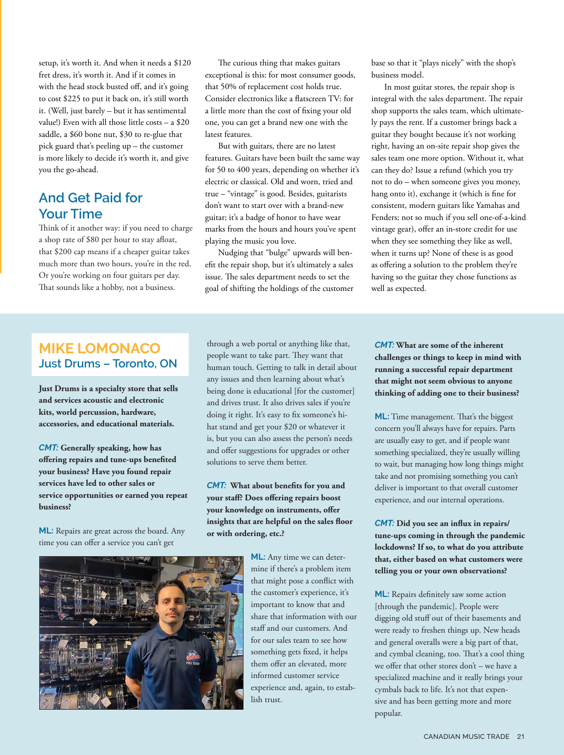setup, it's worth it. And when it needs a \$120 fret dress, it's worth it. And if it comes in with the head stock busted off, and it's going to cost \$225 to put it back on, it's still worth it. (Well, just barely – but it has sentimental value!) Even with all those little costs – a \$20 saddle, a \$60 bone nut, \$30 to re-glue that pick guard that's peeling up – the customer is more likely to decide it's worth it, and give you the go-ahead.

# **And Get Paid for Your Time**

Think of it another way: if you need to charge a shop rate of \$80 per hour to stay afloat, that \$200 cap means if a cheaper guitar takes much more than two hours, you're in the red. Or you're working on four guitars per day. That sounds like a hobby, not a business.

The curious thing that makes guitars exceptional is this: for most consumer goods, that 50% of replacement cost holds true. Consider electronics like a flatscreen TV: for a little more than the cost of fixing your old one, you can get a brand new one with the latest features.

But with guitars, there are no latest features. Guitars have been built the same way for 50 to 400 years, depending on whether it's electric or classical. Old and worn, tried and true – "vintage" is good. Besides, guitarists don't want to start over with a brand-new guitar; it's a badge of honor to have wear marks from the hours and hours you've spent playing the music you love.

Nudging that "bulge" upwards will benefit the repair shop, but it's ultimately a sales issue. The sales department needs to set the goal of shifting the holdings of the customer base so that it "plays nicely" with the shop's business model.

In most guitar stores, the repair shop is integral with the sales department. The repair shop supports the sales team, which ultimately pays the rent. If a customer brings back a guitar they bought because it's not working right, having an on-site repair shop gives the sales team one more option. Without it, what can they do? Issue a refund (which you try not to do – when someone gives you money, hang onto it), exchange it (which is fine for consistent, modern guitars like Yamahas and Fenders; not so much if you sell one-of-a-kind vintage gear), offer an in-store credit for use when they see something they like as well, when it turns up? None of these is as good as offering a solution to the problem they're having so the guitar they chose functions as well as expected.

### **MIKE LOMONACO Just Drums – Toronto, ON**

**Just Drums is a specialty store that sells and services acoustic and electronic kits, world percussion, hardware, accessories, and educational materials.**

*CMT:* **Generally speaking, how has offering repairs and tune-ups benefited your business? Have you found repair services have led to other sales or service opportunities or earned you repeat business?** 

**ML:** Repairs are great across the board. Any time you can offer a service you can't get

through a web portal or anything like that, people want to take part. They want that human touch. Getting to talk in detail about any issues and then learning about what's being done is educational [for the customer] and drives trust. It also drives sales if you're doing it right. It's easy to fix someone's hihat stand and get your \$20 or whatever it is, but you can also assess the person's needs and offer suggestions for upgrades or other solutions to serve them better.

*CMT:* **What about benefits for you and your staff? Does offering repairs boost your knowledge on instruments, offer insights that are helpful on the sales floor or with ordering, etc.?** 



**ML:** Any time we can determine if there's a problem item that might pose a conflict with the customer's experience, it's important to know that and share that information with our staff and our customers. And for our sales team to see how something gets fixed, it helps them offer an elevated, more informed customer service experience and, again, to establish trust.

*CMT:* **What are some of the inherent challenges or things to keep in mind with running a successful repair department that might not seem obvious to anyone thinking of adding one to their business?** 

**ML:** Time management. That's the biggest concern you'll always have for repairs. Parts are usually easy to get, and if people want something specialized, they're usually willing to wait, but managing how long things might take and not promising something you can't deliver is important to that overall customer experience, and our internal operations.

*CMT:* **Did you see an influx in repairs/ tune-ups coming in through the pandemic lockdowns? If so, to what do you attribute that, either based on what customers were telling you or your own observations?** 

**ML:** Repairs definitely saw some action [through the pandemic]. People were digging old stuff out of their basements and were ready to freshen things up. New heads and general overalls were a big part of that, and cymbal cleaning, too. That's a cool thing we offer that other stores don't – we have a specialized machine and it really brings your cymbals back to life. It's not that expensive and has been getting more and more popular.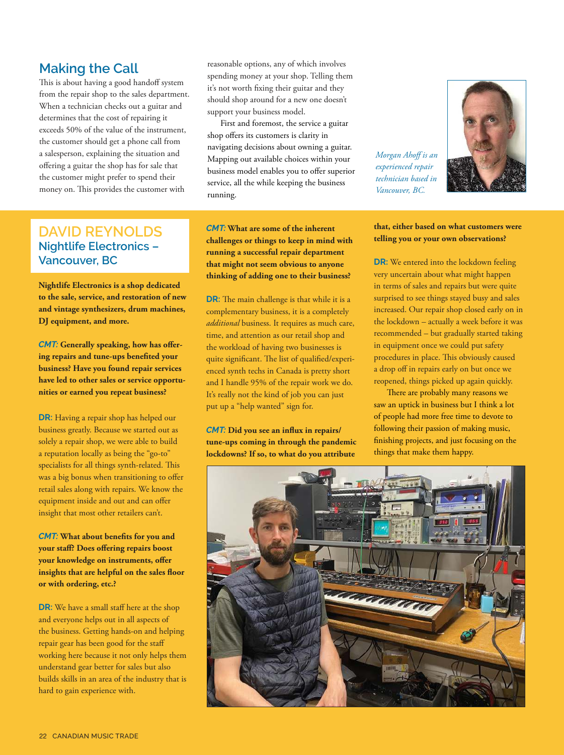### **Making the Call**

This is about having a good handoff system from the repair shop to the sales department. When a technician checks out a guitar and determines that the cost of repairing it exceeds 50% of the value of the instrument, the customer should get a phone call from a salesperson, explaining the situation and offering a guitar the shop has for sale that the customer might prefer to spend their money on. This provides the customer with

reasonable options, any of which involves spending money at your shop. Telling them it's not worth fixing their guitar and they should shop around for a new one doesn't support your business model.

First and foremost, the service a guitar shop offers its customers is clarity in navigating decisions about owning a guitar. Mapping out available choices within your business model enables you to offer superior service, all the while keeping the business running.

*Morgan Ahoff is an experienced repair technician based in Vancouver, BC.*



# **DAVID REYNOLDS Nightlife Electronics – Vancouver, BC**

**Nightlife Electronics is a shop dedicated to the sale, service, and restoration of new and vintage synthesizers, drum machines, DJ equipment, and more.**

*CMT:* **Generally speaking, how has offering repairs and tune-ups benefited your business? Have you found repair services have led to other sales or service opportunities or earned you repeat business?**

**DR:** Having a repair shop has helped our business greatly. Because we started out as solely a repair shop, we were able to build a reputation locally as being the "go-to" specialists for all things synth-related. This was a big bonus when transitioning to offer retail sales along with repairs. We know the equipment inside and out and can offer insight that most other retailers can't.

*CMT:* **What about benefits for you and your staff? Does offering repairs boost your knowledge on instruments, offer insights that are helpful on the sales floor or with ordering, etc.?**

**DR:** We have a small staff here at the shop and everyone helps out in all aspects of the business. Getting hands-on and helping repair gear has been good for the staff working here because it not only helps them understand gear better for sales but also builds skills in an area of the industry that is hard to gain experience with.

*CMT:* **What are some of the inherent challenges or things to keep in mind with running a successful repair department that might not seem obvious to anyone thinking of adding one to their business?**

**DR:** The main challenge is that while it is a complementary business, it is a completely *additional* business. It requires as much care, time, and attention as our retail shop and the workload of having two businesses is quite significant. The list of qualified/experienced synth techs in Canada is pretty short and I handle 95% of the repair work we do. It's really not the kind of job you can just put up a "help wanted" sign for.

*CMT:* **Did you see an influx in repairs/ tune-ups coming in through the pandemic lockdowns? If so, to what do you attribute** 

**that, either based on what customers were telling you or your own observations?**

**DR:** We entered into the lockdown feeling very uncertain about what might happen in terms of sales and repairs but were quite surprised to see things stayed busy and sales increased. Our repair shop closed early on in the lockdown – actually a week before it was recommended – but gradually started taking in equipment once we could put safety procedures in place. This obviously caused a drop off in repairs early on but once we reopened, things picked up again quickly.

There are probably many reasons we saw an uptick in business but I think a lot of people had more free time to devote to following their passion of making music, finishing projects, and just focusing on the things that make them happy.